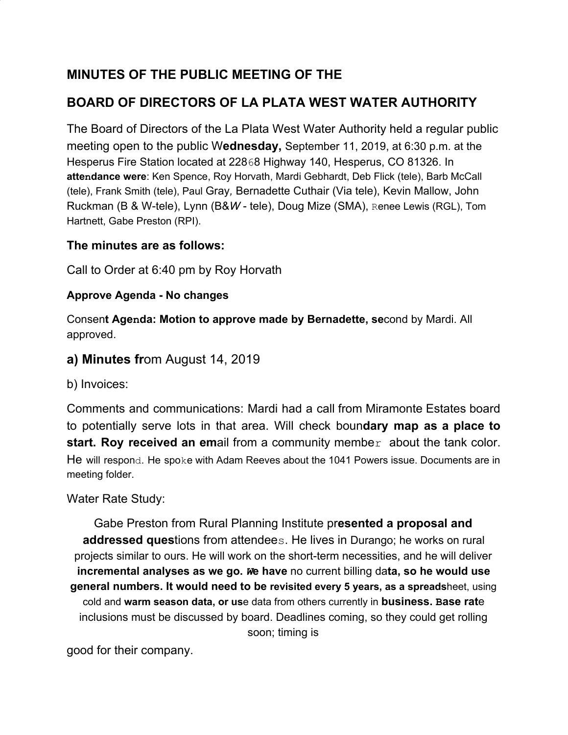### **MINUTES OF THE PUBLIC MEETING OF THE**

## **BOARD OF DIRECTORS OF LA PLATA WEST WATER AUTHORITY**

The Board of Directors of the La Plata West Water Authority held a regular public meeting open to the public W**ednesday,** September 11, 2019, at 6:30 p.m. at the Hesperus Fire Station located at 22868 Highway 140, Hesperus, CO 81326. In **attendance were**: Ken Spence, Roy Horvath, Mardi Gebhardt, Deb Flick (tele), Barb McCall (tele), Frank Smith (tele), Paul Gray*,* Bernadette Cuthair (Via tele), Kevin Mallow, John Ruckman (B & W-tele), Lynn (B&*W* - tele), Doug Mize (SMA), Renee Lewis (RGL), Tom Hartnett, Gabe Preston (RPI).

#### **The minutes are as follows:**

Call to Order at 6:40 pm by Roy Horvath

#### **Approve Agenda - No changes**

Consen**t Agenda: Motion to approve made by Bernadette, se**cond by Mardi. All approved.

#### **a) Minutes fr**om August 14, 2019

b) Invoices:

Comments and communications: Mardi had a call from Miramonte Estates board to potentially serve lots in that area. Will check boun**dary map as a place to start. Roy received an em**ail from a community member about the tank color. He will respond. He spoke with Adam Reeves about the 1041 Powers issue. Documents are in meeting folder.

#### Water Rate Study:

Gabe Preston from Rural Planning Institute pr**esented a proposal and addressed ques**tions from attendees. He lives in Durango; he works on rural projects similar to ours. He will work on the short-term necessities, and he will deliver **incremental analyses as we go.** *W***e have** no current billing da**ta, so he would use general numbers. It would need to be revisited every 5 years, as a spreads**heet, using cold and **warm season data, or us**e data from others currently in **business. Base rat**e inclusions must be discussed by board. Deadlines coming, so they could get rolling soon; timing is

good for their company.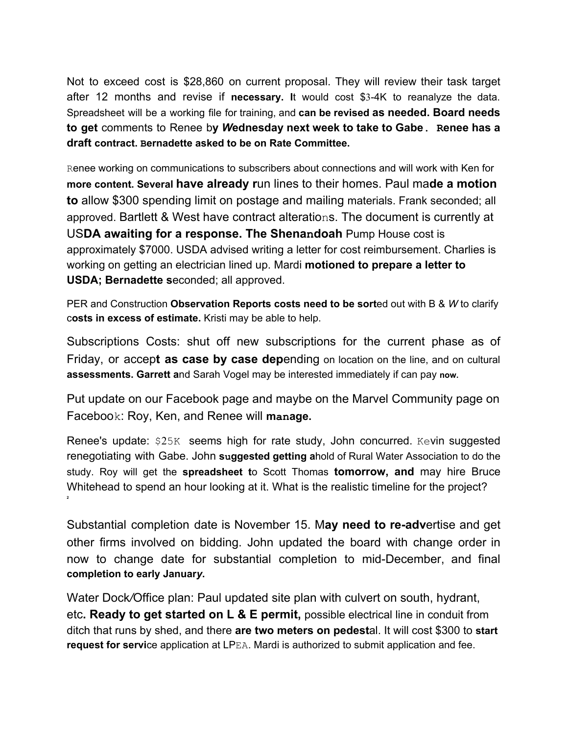Not to exceed cost is \$28,860 on current proposal. They will review their task target after 12 months and revise if **necessary. I**t would cost \$3-4K to reanalyze the data. Spreadsheet will be a working file for training, and **can be revised as needed. Board needs to get** comments to Renee b**y** *W***ednesday next week to take to Gabe. Renee has a draft contract. Bernadette asked to be on Rate Committee.**

Renee working on communications to subscribers about connections and will work with Ken for **more content. Several have already r**un lines to their homes. Paul ma**de a motion to** allow \$300 spending limit on postage and mailing materials. Frank seconded; all approved. Bartlett & West have contract alterations. The document is currently at US**DA awaiting for a response. The Shenandoah** Pump House cost is approximately \$7000. USDA advised writing a letter for cost reimbursement. Charlies is working on getting an electrician lined up. Mardi **motioned to prepare a letter to USDA; Bernadette s**econded; all approved.

PER and Construction **Observation Reports costs need to be sort**ed out with B & *W* to clarify c**osts in excess of estimate.** Kristi may be able to help.

Subscriptions Costs: shut off new subscriptions for the current phase as of Friday, or accep**t as case by case dep**ending on location on the line, and on cultural **assessments. Garrett a**nd Sarah Vogel may be interested immediately if can pay **now.**

Put update on our Facebook page and maybe on the Marvel Community page on Facebook: Roy, Ken, and Renee will **manage.**

Renee's update: \$25K seems high for rate study, John concurred. Kevin suggested renegotiating with Gabe. John **suggested getting a**hold of Rural Water Association to do the study. Roy will get the **spreadsheet t**o Scott Thomas **tomorrow, and** may hire Bruce Whitehead to spend an hour looking at it. What is the realistic timeline for the project? **2**

Substantial completion date is November 15. M**ay need to re-adv**ertise and get other firms involved on bidding. John updated the board with change order in now to change date for substantial completion to mid-December, and final **completion to early Januar***y***.**

Water Dock*/*Office plan: Paul updated site plan with culvert on south, hydrant, etc**. Ready to get started on L & E permit,** possible electrical line in conduit from ditch that runs by shed, and there **are two meters on pedest**al. It will cost \$300 to **start request for servi**ce application at LPEA. Mardi is authorized to submit application and fee.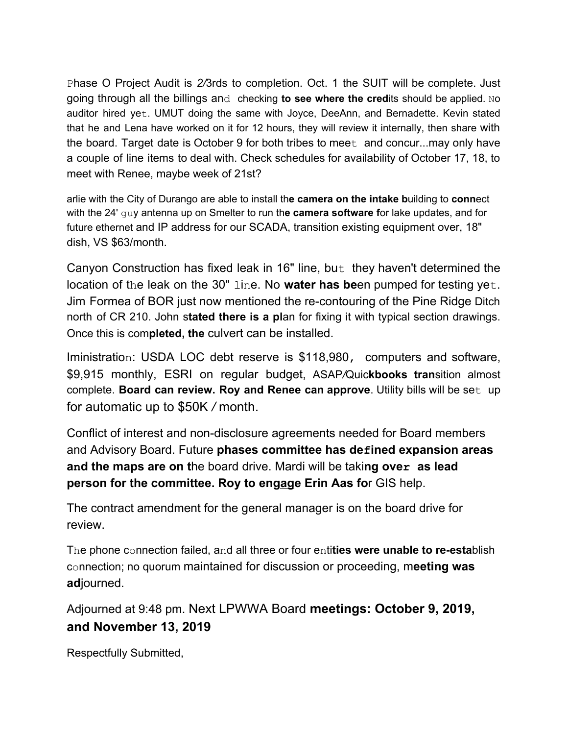Phase O Project Audit is *2/*3rds to completion. Oct. 1 the SUIT will be complete. Just going through all the billings and checking **to see where the cred**its should be applied. No auditor hired yet. UMUT doing the same with Joyce, DeeAnn, and Bernadette. Kevin stated that he and Lena have worked on it for 12 hours, they will review it internally, then share with the board. Target date is October 9 for both tribes to meet and concur...may only have a couple of line items to deal with. Check schedules for availability of October 17, 18, to meet with Renee, maybe week of 21st?

arlie with the City of Durango are able to install th**e camera on the intake b**uilding to **conn**ect with the 24' guy antenna up on Smelter to run th**e camera software f**or lake updates, and for future ethernet and IP address for our SCADA, transition existing equipment over, 18" dish, VS \$63/month.

Canyon Construction has fixed leak in 16" line, but they haven't determined the location of the leak on the 30" line. No **water has be**en pumped for testing yet. Jim Formea of BOR just now mentioned the re-contouring of the Pine Ridge Ditch north of CR 210. John s**tated there is a pl**an for fixing it with typical section drawings. Once this is com**pleted, the** culvert can be installed.

Iministration: USDA LOC debt reserve is \$118,980, computers and software, \$9,915 monthly, ESRI on regular budget, ASAP*/*Quic**kbooks tran**sition almost complete. **Board can review. Roy and Renee can approve**. Utility bills will be set up for automatic up to \$50K */* month.

Conflict of interest and non-disclosure agreements needed for Board members and Advisory Board. Future **phases committee has defined expansion areas and the maps are on t**he board drive. Mardi will be taki**ng over as lead person for the committee. Roy to engage Erin Aas fo**r GIS help.

The contract amendment for the general manager is on the board drive for review.

The phone connection failed, and all three or four enti**ties were unable to re-esta**blish connection; no quorum maintained for discussion or proceeding, m**eeting was ad**journed.

Adjourned at 9:48 pm. Next LPWWA Board **meetings: October 9, 2019, and November 13, 2019**

Respectfully Submitted,